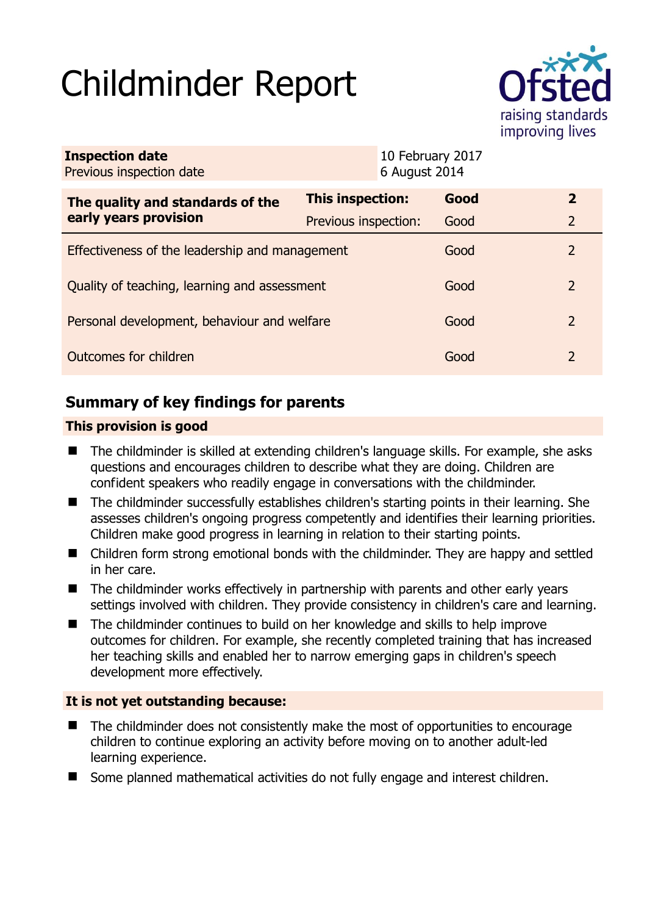# Childminder Report



| <b>Inspection date</b><br>Previous inspection date |                      | 10 February 2017<br>6 August 2014 |      |                |
|----------------------------------------------------|----------------------|-----------------------------------|------|----------------|
| The quality and standards of the                   | This inspection:     |                                   | Good | $\mathbf{2}$   |
| early years provision                              | Previous inspection: |                                   | Good | $\overline{2}$ |
| Effectiveness of the leadership and management     |                      |                                   | Good | 2              |
| Quality of teaching, learning and assessment       |                      |                                   | Good | 2              |
| Personal development, behaviour and welfare        |                      |                                   | Good | 2              |
| Outcomes for children                              |                      |                                   | Good | 2              |

# **Summary of key findings for parents**

## **This provision is good**

- The childminder is skilled at extending children's language skills. For example, she asks questions and encourages children to describe what they are doing. Children are confident speakers who readily engage in conversations with the childminder.
- The childminder successfully establishes children's starting points in their learning. She assesses children's ongoing progress competently and identifies their learning priorities. Children make good progress in learning in relation to their starting points.
- Children form strong emotional bonds with the childminder. They are happy and settled in her care.
- The childminder works effectively in partnership with parents and other early years settings involved with children. They provide consistency in children's care and learning.
- The childminder continues to build on her knowledge and skills to help improve outcomes for children. For example, she recently completed training that has increased her teaching skills and enabled her to narrow emerging gaps in children's speech development more effectively.

## **It is not yet outstanding because:**

- The childminder does not consistently make the most of opportunities to encourage children to continue exploring an activity before moving on to another adult-led learning experience.
- Some planned mathematical activities do not fully engage and interest children.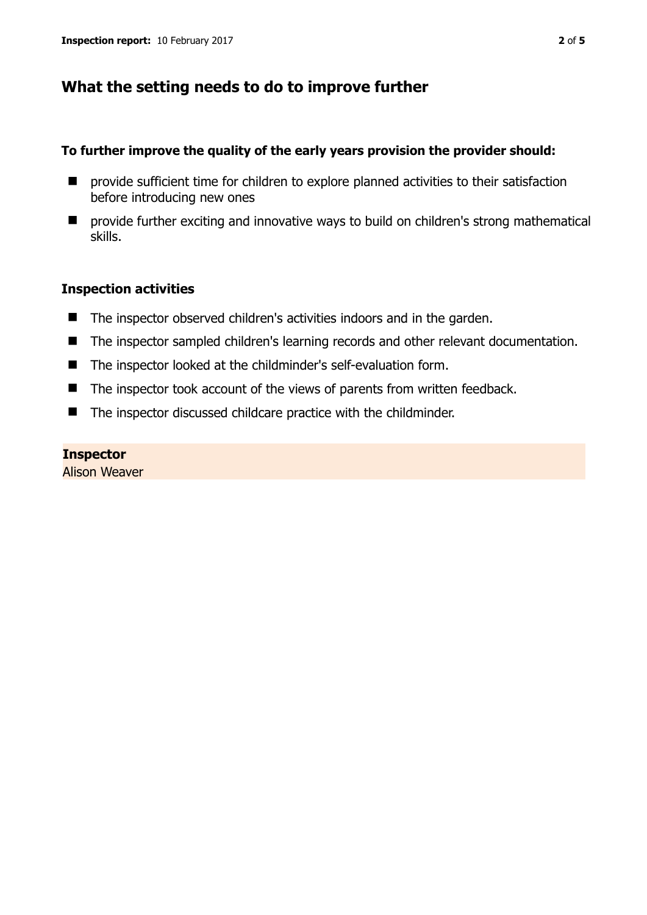# **What the setting needs to do to improve further**

#### **To further improve the quality of the early years provision the provider should:**

- $\blacksquare$  provide sufficient time for children to explore planned activities to their satisfaction before introducing new ones
- provide further exciting and innovative ways to build on children's strong mathematical skills.

## **Inspection activities**

- The inspector observed children's activities indoors and in the garden.
- The inspector sampled children's learning records and other relevant documentation.
- The inspector looked at the childminder's self-evaluation form.
- The inspector took account of the views of parents from written feedback.
- The inspector discussed childcare practice with the childminder.

#### **Inspector**

Alison Weaver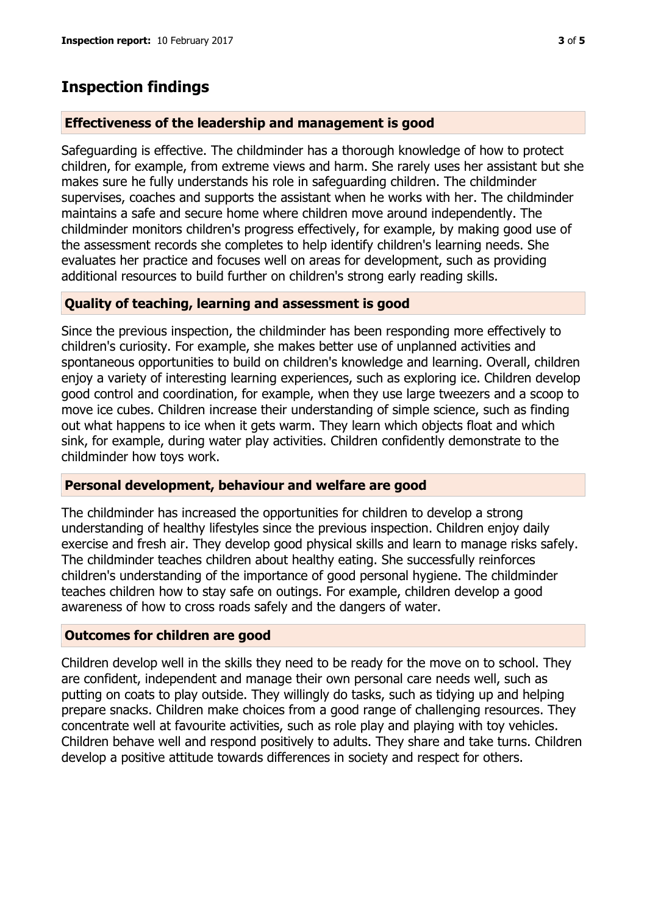# **Inspection findings**

## **Effectiveness of the leadership and management is good**

Safeguarding is effective. The childminder has a thorough knowledge of how to protect children, for example, from extreme views and harm. She rarely uses her assistant but she makes sure he fully understands his role in safeguarding children. The childminder supervises, coaches and supports the assistant when he works with her. The childminder maintains a safe and secure home where children move around independently. The childminder monitors children's progress effectively, for example, by making good use of the assessment records she completes to help identify children's learning needs. She evaluates her practice and focuses well on areas for development, such as providing additional resources to build further on children's strong early reading skills.

## **Quality of teaching, learning and assessment is good**

Since the previous inspection, the childminder has been responding more effectively to children's curiosity. For example, she makes better use of unplanned activities and spontaneous opportunities to build on children's knowledge and learning. Overall, children enjoy a variety of interesting learning experiences, such as exploring ice. Children develop good control and coordination, for example, when they use large tweezers and a scoop to move ice cubes. Children increase their understanding of simple science, such as finding out what happens to ice when it gets warm. They learn which objects float and which sink, for example, during water play activities. Children confidently demonstrate to the childminder how toys work.

#### **Personal development, behaviour and welfare are good**

The childminder has increased the opportunities for children to develop a strong understanding of healthy lifestyles since the previous inspection. Children enjoy daily exercise and fresh air. They develop good physical skills and learn to manage risks safely. The childminder teaches children about healthy eating. She successfully reinforces children's understanding of the importance of good personal hygiene. The childminder teaches children how to stay safe on outings. For example, children develop a good awareness of how to cross roads safely and the dangers of water.

#### **Outcomes for children are good**

Children develop well in the skills they need to be ready for the move on to school. They are confident, independent and manage their own personal care needs well, such as putting on coats to play outside. They willingly do tasks, such as tidying up and helping prepare snacks. Children make choices from a good range of challenging resources. They concentrate well at favourite activities, such as role play and playing with toy vehicles. Children behave well and respond positively to adults. They share and take turns. Children develop a positive attitude towards differences in society and respect for others.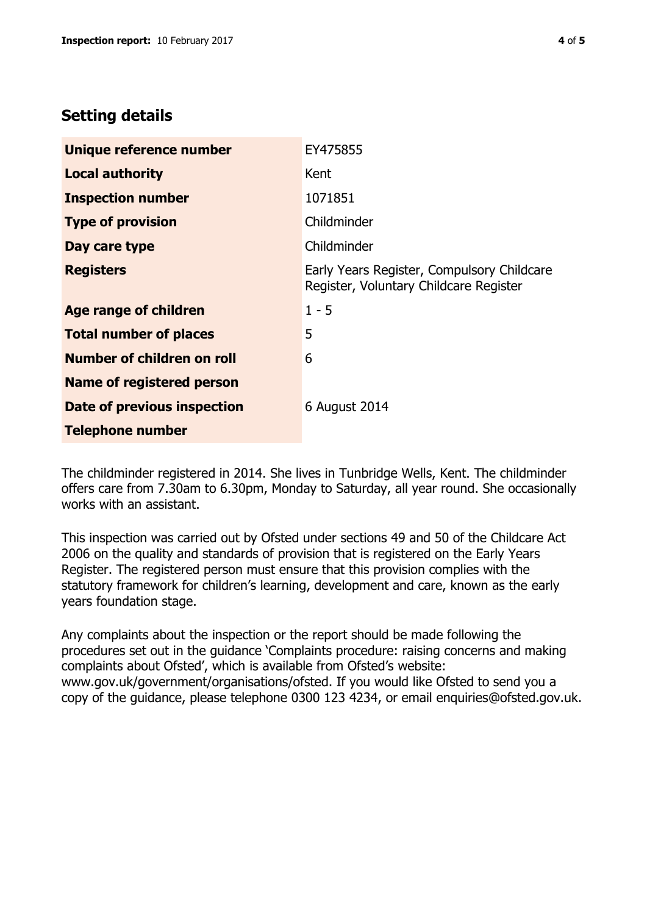# **Setting details**

| Unique reference number       | EY475855                                                                             |  |
|-------------------------------|--------------------------------------------------------------------------------------|--|
| <b>Local authority</b>        | Kent                                                                                 |  |
| <b>Inspection number</b>      | 1071851                                                                              |  |
| <b>Type of provision</b>      | Childminder                                                                          |  |
| Day care type                 | Childminder                                                                          |  |
| <b>Registers</b>              | Early Years Register, Compulsory Childcare<br>Register, Voluntary Childcare Register |  |
| Age range of children         | $1 - 5$                                                                              |  |
| <b>Total number of places</b> | 5                                                                                    |  |
| Number of children on roll    | 6                                                                                    |  |
| Name of registered person     |                                                                                      |  |
| Date of previous inspection   | 6 August 2014                                                                        |  |
| <b>Telephone number</b>       |                                                                                      |  |

The childminder registered in 2014. She lives in Tunbridge Wells, Kent. The childminder offers care from 7.30am to 6.30pm, Monday to Saturday, all year round. She occasionally works with an assistant.

This inspection was carried out by Ofsted under sections 49 and 50 of the Childcare Act 2006 on the quality and standards of provision that is registered on the Early Years Register. The registered person must ensure that this provision complies with the statutory framework for children's learning, development and care, known as the early years foundation stage.

Any complaints about the inspection or the report should be made following the procedures set out in the guidance 'Complaints procedure: raising concerns and making complaints about Ofsted', which is available from Ofsted's website: www.gov.uk/government/organisations/ofsted. If you would like Ofsted to send you a copy of the guidance, please telephone 0300 123 4234, or email enquiries@ofsted.gov.uk.